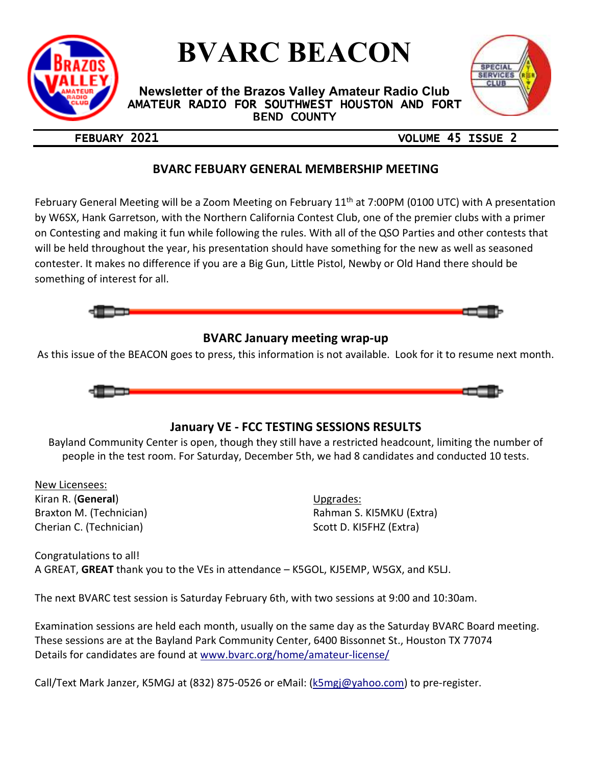

# **BVARC BEACON**

**Newsletter of the Brazos Valley Amateur Radio Club**  AMATEUR RADIO FOR SOUTHWEST HOUSTON AND FORT **BEND COUNTY** 



## FEBUARY 2021 **DEEPS** 2021

## **BVARC FEBUARY GENERAL MEMBERSHIP MEETING**

February General Meeting will be a Zoom Meeting on February 11<sup>th</sup> at 7:00PM (0100 UTC) with A presentation by W6SX, Hank Garretson, with the Northern California Contest Club, one of the premier clubs with a primer on Contesting and making it fun while following the rules. With all of the QSO Parties and other contests that will be held throughout the year, his presentation should have something for the new as well as seasoned contester. It makes no difference if you are a Big Gun, Little Pistol, Newby or Old Hand there should be something of interest for all.



## **BVARC January meeting wrap-up**

As this issue of the BEACON goes to press, this information is not available. Look for it to resume next month.



## **January VE - FCC TESTING SESSIONS RESULTS**

Bayland Community Center is open, though they still have a restricted headcount, limiting the number of people in the test room. For Saturday, December 5th, we had 8 candidates and conducted 10 tests.

New Licensees: Kiran R. (**General**) Braxton M. (Technician) Cherian C. (Technician)

Upgrades: Rahman S. KI5MKU (Extra) Scott D. KI5FHZ (Extra)

Congratulations to all! A GREAT, **GREAT** thank you to the VEs in attendance – K5GOL, KJ5EMP, W5GX, and K5LJ.

The next BVARC test session is Saturday February 6th, with two sessions at 9:00 and 10:30am.

Examination sessions are held each month, usually on the same day as the Saturday BVARC Board meeting. These sessions are at the Bayland Park Community Center, 6400 Bissonnet St., Houston TX 77074 Details for candidates are found at www.bvarc.org/home/amateur-license/

Call/Text Mark Janzer, K5MGJ at (832) 875-0526 or eMail: (k5mgj@yahoo.com) to pre-register.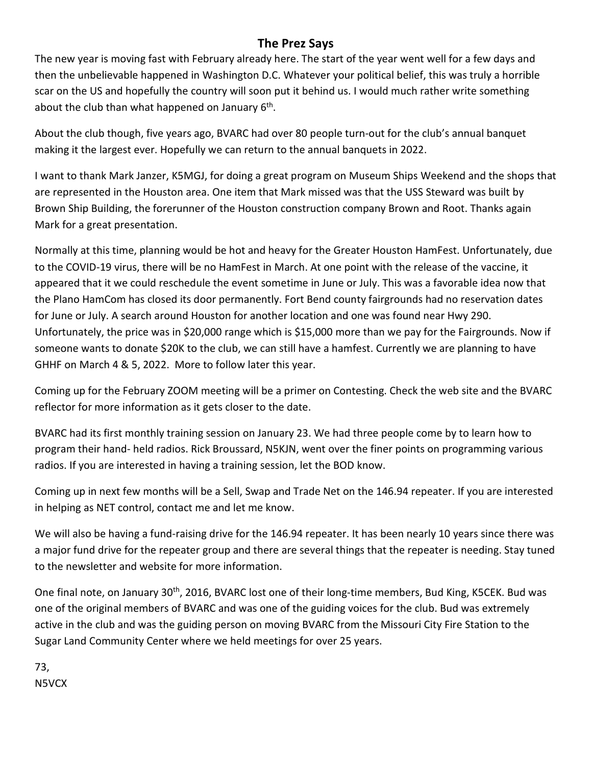## **The Prez Says**

The new year is moving fast with February already here. The start of the year went well for a few days and then the unbelievable happened in Washington D.C. Whatever your political belief, this was truly a horrible scar on the US and hopefully the country will soon put it behind us. I would much rather write something about the club than what happened on January  $6<sup>th</sup>$ .

About the club though, five years ago, BVARC had over 80 people turn-out for the club's annual banquet making it the largest ever. Hopefully we can return to the annual banquets in 2022.

I want to thank Mark Janzer, K5MGJ, for doing a great program on Museum Ships Weekend and the shops that are represented in the Houston area. One item that Mark missed was that the USS Steward was built by Brown Ship Building, the forerunner of the Houston construction company Brown and Root. Thanks again Mark for a great presentation.

Normally at this time, planning would be hot and heavy for the Greater Houston HamFest. Unfortunately, due to the COVID-19 virus, there will be no HamFest in March. At one point with the release of the vaccine, it appeared that it we could reschedule the event sometime in June or July. This was a favorable idea now that the Plano HamCom has closed its door permanently. Fort Bend county fairgrounds had no reservation dates for June or July. A search around Houston for another location and one was found near Hwy 290. Unfortunately, the price was in \$20,000 range which is \$15,000 more than we pay for the Fairgrounds. Now if someone wants to donate \$20K to the club, we can still have a hamfest. Currently we are planning to have GHHF on March 4 & 5, 2022. More to follow later this year.

Coming up for the February ZOOM meeting will be a primer on Contesting. Check the web site and the BVARC reflector for more information as it gets closer to the date.

BVARC had its first monthly training session on January 23. We had three people come by to learn how to program their hand- held radios. Rick Broussard, N5KJN, went over the finer points on programming various radios. If you are interested in having a training session, let the BOD know.

Coming up in next few months will be a Sell, Swap and Trade Net on the 146.94 repeater. If you are interested in helping as NET control, contact me and let me know.

We will also be having a fund-raising drive for the 146.94 repeater. It has been nearly 10 years since there was a major fund drive for the repeater group and there are several things that the repeater is needing. Stay tuned to the newsletter and website for more information.

One final note, on January 30<sup>th</sup>, 2016, BVARC lost one of their long-time members, Bud King, K5CEK. Bud was one of the original members of BVARC and was one of the guiding voices for the club. Bud was extremely active in the club and was the guiding person on moving BVARC from the Missouri City Fire Station to the Sugar Land Community Center where we held meetings for over 25 years.

73, N5VCX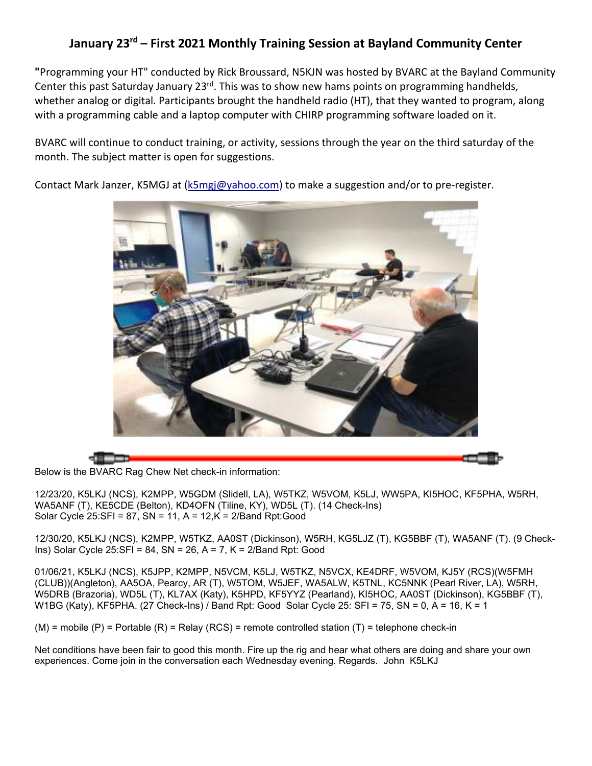## **January 23rd – First 2021 Monthly Training Session at Bayland Community Center**

**"**Programming your HT" conducted by Rick Broussard, N5KJN was hosted by BVARC at the Bayland Community Center this past Saturday January 23<sup>rd</sup>. This was to show new hams points on programming handhelds, whether analog or digital. Participants brought the handheld radio (HT), that they wanted to program, along with a programming cable and a laptop computer with CHIRP programming software loaded on it.

BVARC will continue to conduct training, or activity, sessions through the year on the third saturday of the month. The subject matter is open for suggestions.

Contact Mark Janzer, K5MGJ at (k5mgj@yahoo.com) to make a suggestion and/or to pre-register.



Below is the BVARC Rag Chew Net check-in information:

12/23/20, K5LKJ (NCS), K2MPP, W5GDM (Slidell, LA), W5TKZ, W5VOM, K5LJ, WW5PA, KI5HOC, KF5PHA, W5RH, WA5ANF (T), KE5CDE (Belton), KD4OFN (Tiline, KY), WD5L (T). (14 Check-Ins) Solar Cycle 25:SFI = 87, SN = 11, A = 12,K = 2/Band Rpt:Good

12/30/20, K5LKJ (NCS), K2MPP, W5TKZ, AA0ST (Dickinson), W5RH, KG5LJZ (T), KG5BBF (T), WA5ANF (T). (9 Check-Ins) Solar Cycle 25:SFI = 84, SN = 26, A = 7, K = 2/Band Rpt: Good

01/06/21, K5LKJ (NCS), K5JPP, K2MPP, N5VCM, K5LJ, W5TKZ, N5VCX, KE4DRF, W5VOM, KJ5Y (RCS)(W5FMH (CLUB))(Angleton), AA5OA, Pearcy, AR (T), W5TOM, W5JEF, WA5ALW, K5TNL, KC5NNK (Pearl River, LA), W5RH, W5DRB (Brazoria), WD5L (T), KL7AX (Katy), K5HPD, KF5YYZ (Pearland), KI5HOC, AA0ST (Dickinson), KG5BBF (T), W1BG (Katy), KF5PHA. (27 Check-Ins) / Band Rpt: Good Solar Cycle 25: SFI = 75, SN = 0, A = 16, K = 1

 $(M)$  = mobile  $(P)$  = Portable  $(R)$  = Relay  $(RCS)$  = remote controlled station  $(T)$  = telephone check-in

Net conditions have been fair to good this month. Fire up the rig and hear what others are doing and share your own experiences. Come join in the conversation each Wednesday evening. Regards. John K5LKJ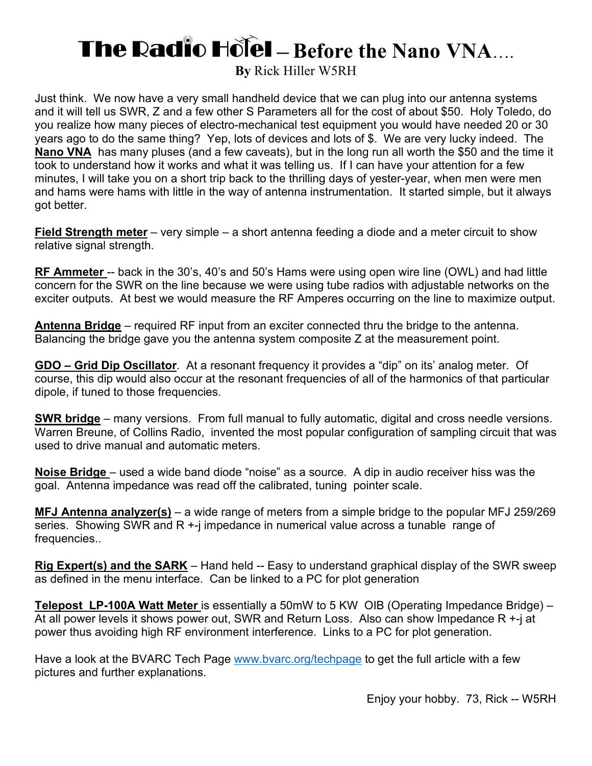# **The Radio Hotel - Before the Nano VNA....**

**By** Rick Hiller W5RH

Just think. We now have a very small handheld device that we can plug into our antenna systems and it will tell us SWR, Z and a few other S Parameters all for the cost of about \$50. Holy Toledo, do you realize how many pieces of electro-mechanical test equipment you would have needed 20 or 30 years ago to do the same thing? Yep, lots of devices and lots of \$. We are very lucky indeed. The **Nano VNA** has many pluses (and a few caveats), but in the long run all worth the \$50 and the time it took to understand how it works and what it was telling us. If I can have your attention for a few minutes, I will take you on a short trip back to the thrilling days of yester-year, when men were men and hams were hams with little in the way of antenna instrumentation. It started simple, but it always got better.

**Field Strength meter** – very simple – a short antenna feeding a diode and a meter circuit to show relative signal strength.

**RF Ammeter** -- back in the 30's, 40's and 50's Hams were using open wire line (OWL) and had little concern for the SWR on the line because we were using tube radios with adjustable networks on the exciter outputs. At best we would measure the RF Amperes occurring on the line to maximize output.

**Antenna Bridge** – required RF input from an exciter connected thru the bridge to the antenna. Balancing the bridge gave you the antenna system composite Z at the measurement point.

**GDO – Grid Dip Oscillator**. At a resonant frequency it provides a "dip" on its' analog meter. Of course, this dip would also occur at the resonant frequencies of all of the harmonics of that particular dipole, if tuned to those frequencies.

**SWR bridge** – many versions. From full manual to fully automatic, digital and cross needle versions. Warren Breune, of Collins Radio, invented the most popular configuration of sampling circuit that was used to drive manual and automatic meters.

**Noise Bridge** – used a wide band diode "noise" as a source. A dip in audio receiver hiss was the goal. Antenna impedance was read off the calibrated, tuning pointer scale.

**MFJ Antenna analyzer(s)** – a wide range of meters from a simple bridge to the popular MFJ 259/269 series. Showing SWR and R +-j impedance in numerical value across a tunable range of frequencies..

**Rig Expert(s) and the SARK** – Hand held -- Easy to understand graphical display of the SWR sweep as defined in the menu interface. Can be linked to a PC for plot generation

**Telepost LP-100A Watt Meter** is essentially a 50mW to 5 KW OIB (Operating Impedance Bridge) – At all power levels it shows power out, SWR and Return Loss. Also can show Impedance R +-j at power thus avoiding high RF environment interference. Links to a PC for plot generation.

Have a look at the BVARC Tech Page www.bvarc.org/techpage to get the full article with a few pictures and further explanations.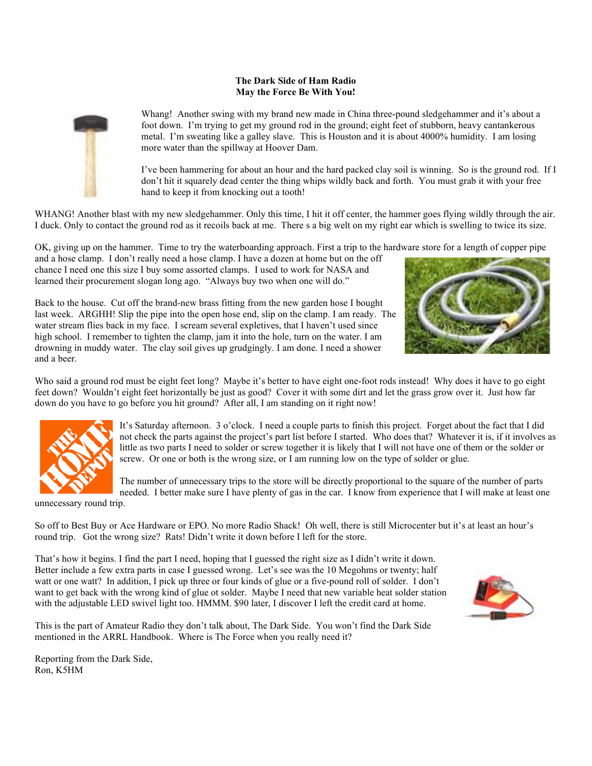#### **The Dark Side of Ham Radio May the Force Be With You!**



Whang! Another swing with my brand new made in China three-pound sledgehammer and it's about a foot down. I'm trying to get my ground rod in the ground; eight feet of stubborn, heavy cantankerous metal. I'm sweating like a galley slave. This is Houston and it is about 4000% humidity. I am losing more water than the spillway at Hoover Dam.

I've been hammering for about an hour and the hard packed clay soil is winning. So is the ground rod. If I don't hit it squarely dead center the thing whips wildly back and forth. You must grab it with your free hand to keep it from knocking out a tooth!

WHANG! Another blast with my new sledgehammer. Only this time, I hit it off center, the hammer goes flying wildly through the air. I duck. Only to contact the ground rod as it recoils back at me. There s a big welt on my right ear which is swelling to twice its size.

OK, giving up on the hammer. Time to try the waterboarding approach. First a trip to the hardware store for a length of copper pipe

and a hose clamp. I don't really need a hose clamp. I have a dozen at home but on the off chance I need one this size I buy some assorted clamps. I used to work for NASA and learned their procurement slogan long ago. "Always buy two when one will do."



Back to the house. Cut off the brand-new brass fitting from the new garden hose I bought last week. ARGHH! Slip the pipe into the open hose end, slip on the clamp. I am ready. The water stream flies back in my face. I scream several expletives, that I haven't used since high school. I remember to tighten the clamp, jam it into the hole, turn on the water. I am drowning in muddy water. The clay soil gives up grudgingly. I am done. I need a shower and a beer.

Who said a ground rod must be eight feet long? Maybe it's better to have eight one-foot rods instead! Why does it have to go eight feet down? Wouldn't eight feet horizontally be just as good? Cover it with some dirt and let the grass grow over it. Just how far down do you have to go before you hit ground? After all, I am standing on it right now!



It's Saturday afternoon. 3 o'clock. I need a couple parts to finish this project. Forget about the fact that I did not check the parts against the project's part list before I started. Who does that? Whatever it is, if it involves as little as two parts I need to solder or screw together it is likely that I will not have one of them or the solder or screw. Or one or both is the wrong size, or I am running low on the type of solder or glue.

The number of unnecessary trips to the store will be directly proportional to the square of the number of parts needed. I better make sure I have plenty of gas in the car. I know from experience that I will make at least one

unnecessary round trip.

So off to Best Buy or Ace Hardware or EPO. No more Radio Shack! Oh well, there is still Microcenter but it's at least an hour's round trip. Got the wrong size? Rats! Didn't write it down before I left for the store.

That's how it begins. I find the part I need, hoping that I guessed the right size as I didn't write it down. Better include a few extra parts in case I guessed wrong. Let's see was the 10 Megohms or twenty; half watt or one watt? In addition, I pick up three or four kinds of glue or a five-pound roll of solder. I don't want to get back with the wrong kind of glue ot solder. Maybe I need that new variable heat solder station with the adjustable LED swivel light too. HMMM. \$90 later, I discover I left the credit card at home.

This is the part of Amateur Radio they don't talk about, The Dark Side. You won't find the Dark Side mentioned in the ARRL Handbook. Where is The Force when you really need it?



Reporting from the Dark Side, Ron, K5HM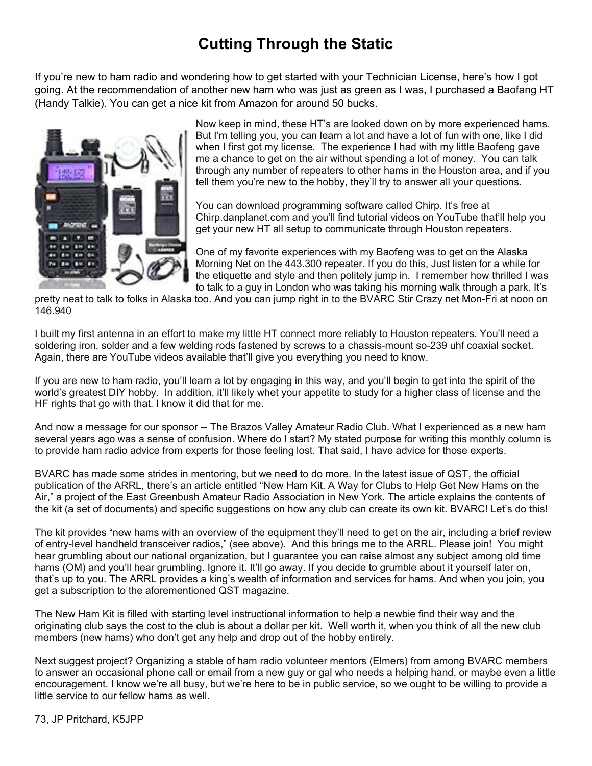## **Cutting Through the Static**

If you're new to ham radio and wondering how to get started with your Technician License, here's how I got going. At the recommendation of another new ham who was just as green as I was, I purchased a Baofang HT (Handy Talkie). You can get a nice kit from Amazon for around 50 bucks.



Now keep in mind, these HT's are looked down on by more experienced hams. But I'm telling you, you can learn a lot and have a lot of fun with one, like I did when I first got my license. The experience I had with my little Baofeng gave me a chance to get on the air without spending a lot of money. You can talk through any number of repeaters to other hams in the Houston area, and if you tell them you're new to the hobby, they'll try to answer all your questions.

You can download programming software called Chirp. It's free at Chirp.danplanet.com and you'll find tutorial videos on YouTube that'll help you get your new HT all setup to communicate through Houston repeaters.

One of my favorite experiences with my Baofeng was to get on the Alaska Morning Net on the 443.300 repeater. If you do this, Just listen for a while for the etiquette and style and then politely jump in. I remember how thrilled I was to talk to a guy in London who was taking his morning walk through a park. It's

pretty neat to talk to folks in Alaska too. And you can jump right in to the BVARC Stir Crazy net Mon-Fri at noon on 146.940

I built my first antenna in an effort to make my little HT connect more reliably to Houston repeaters. You'll need a soldering iron, solder and a few welding rods fastened by screws to a chassis-mount so-239 uhf coaxial socket. Again, there are YouTube videos available that'll give you everything you need to know.

If you are new to ham radio, you'll learn a lot by engaging in this way, and you'll begin to get into the spirit of the world's greatest DIY hobby. In addition, it'll likely whet your appetite to study for a higher class of license and the HF rights that go with that. I know it did that for me.

And now a message for our sponsor -- The Brazos Valley Amateur Radio Club. What I experienced as a new ham several years ago was a sense of confusion. Where do I start? My stated purpose for writing this monthly column is to provide ham radio advice from experts for those feeling lost. That said, I have advice for those experts.

BVARC has made some strides in mentoring, but we need to do more. In the latest issue of QST, the official publication of the ARRL, there's an article entitled "New Ham Kit. A Way for Clubs to Help Get New Hams on the Air," a project of the East Greenbush Amateur Radio Association in New York. The article explains the contents of the kit (a set of documents) and specific suggestions on how any club can create its own kit. BVARC! Let's do this!

The kit provides "new hams with an overview of the equipment they'll need to get on the air, including a brief review of entry-level handheld transceiver radios," (see above). And this brings me to the ARRL. Please join! You might hear grumbling about our national organization, but I guarantee you can raise almost any subject among old time hams (OM) and you'll hear grumbling. Ignore it. It'll go away. If you decide to grumble about it yourself later on, that's up to you. The ARRL provides a king's wealth of information and services for hams. And when you join, you get a subscription to the aforementioned QST magazine.

The New Ham Kit is filled with starting level instructional information to help a newbie find their way and the originating club says the cost to the club is about a dollar per kit. Well worth it, when you think of all the new club members (new hams) who don't get any help and drop out of the hobby entirely.

Next suggest project? Organizing a stable of ham radio volunteer mentors (Elmers) from among BVARC members to answer an occasional phone call or email from a new guy or gal who needs a helping hand, or maybe even a little encouragement. I know we're all busy, but we're here to be in public service, so we ought to be willing to provide a little service to our fellow hams as well.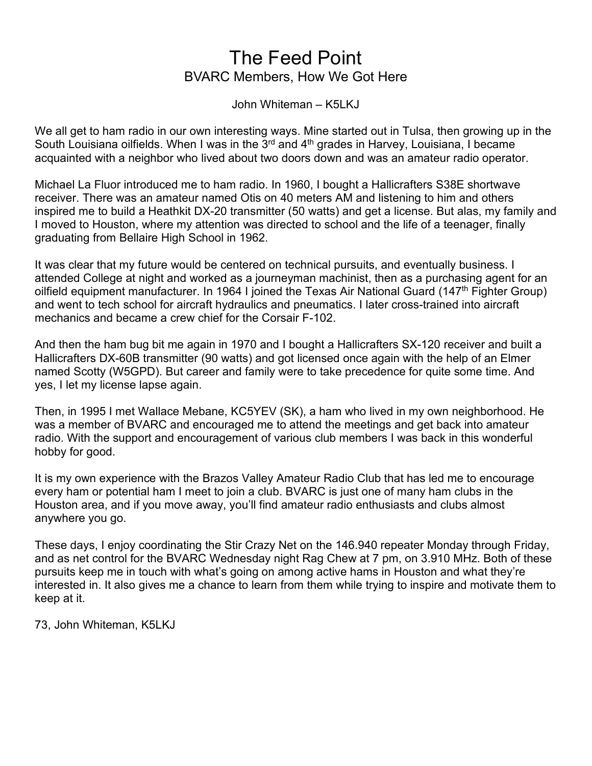## The Feed Point BVARC Members, How We Got Here

John Whiteman – K5LKJ

We all get to ham radio in our own interesting ways. Mine started out in Tulsa, then growing up in the South Louisiana oilfields. When I was in the  $3<sup>rd</sup>$  and  $4<sup>th</sup>$  grades in Harvey, Louisiana, I became acquainted with a neighbor who lived about two doors down and was an amateur radio operator.

Michael La Fluor introduced me to ham radio. In 1960, I bought a Hallicrafters S38E shortwave receiver. There was an amateur named Otis on 40 meters AM and listening to him and others inspired me to build a Heathkit DX-20 transmitter (50 watts) and get a license. But alas, my family and I moved to Houston, where my attention was directed to school and the life of a teenager, finally graduating from Bellaire High School in 1962.

It was clear that my future would be centered on technical pursuits, and eventually business. I attended College at night and worked as a journeyman machinist, then as a purchasing agent for an oilfield equipment manufacturer. In 1964 I joined the Texas Air National Guard (147<sup>th</sup> Fighter Group) and went to tech school for aircraft hydraulics and pneumatics. I later cross-trained into aircraft mechanics and became a crew chief for the Corsair F-102.

And then the ham bug bit me again in 1970 and I bought a Hallicrafters SX-120 receiver and built a Hallicrafters DX-60B transmitter (90 watts) and got licensed once again with the help of an Elmer named Scotty (W5GPD). But career and family were to take precedence for quite some time. And yes, I let my license lapse again.

Then, in 1995 I met Wallace Mebane, KC5YEV (SK), a ham who lived in my own neighborhood. He was a member of BVARC and encouraged me to attend the meetings and get back into amateur radio. With the support and encouragement of various club members I was back in this wonderful hobby for good.

It is my own experience with the Brazos Valley Amateur Radio Club that has led me to encourage every ham or potential ham I meet to join a club. BVARC is just one of many ham clubs in the Houston area, and if you move away, you'll find amateur radio enthusiasts and clubs almost anywhere you go.

These days, I enjoy coordinating the Stir Crazy Net on the 146.940 repeater Monday through Friday, and as net control for the BVARC Wednesday night Rag Chew at 7 pm, on 3.910 MHz. Both of these pursuits keep me in touch with what's going on among active hams in Houston and what they're interested in. It also gives me a chance to learn from them while trying to inspire and motivate them to keep at it.

73, John Whiteman, K5LKJ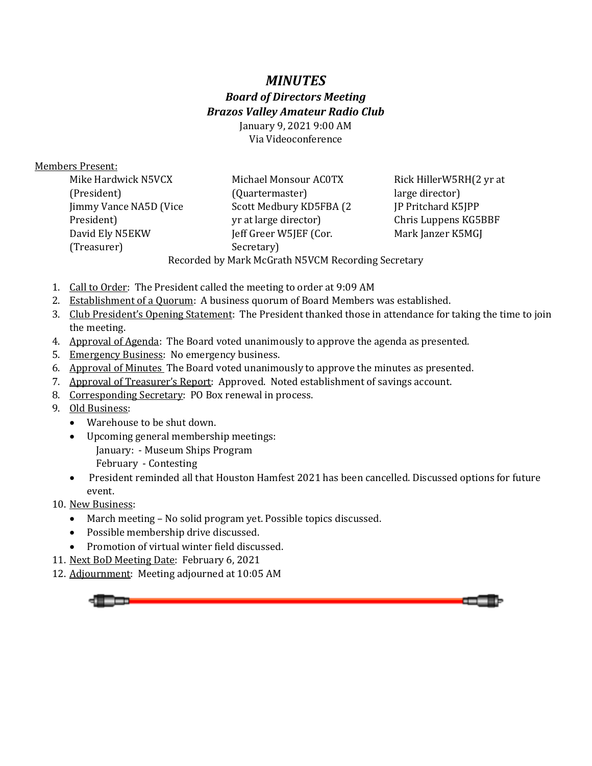## *MINUTES Board of Directors Meeting Brazos Valley Amateur Radio Club*  January 9, 2021 9:00 AM

Via Videoconference

### Members Present:

| Mike Hardwick N5VCX                                | Michael Monsour AC0TX    | Rick HillerW5RH(2 yr at   |  |  |
|----------------------------------------------------|--------------------------|---------------------------|--|--|
| (President)                                        | (Quartermaster)          | large director)           |  |  |
| Jimmy Vance NA5D (Vice                             | Scott Medbury KD5FBA (2) | <b>IP Pritchard K5JPP</b> |  |  |
| President)                                         | yr at large director)    | Chris Luppens KG5BBF      |  |  |
| David Ely N5EKW                                    | Jeff Greer W5JEF (Cor.   | Mark Janzer K5MGJ         |  |  |
| (Treasurer)                                        | Secretary)               |                           |  |  |
| Recorded by Mark McGrath N5VCM Recording Secretary |                          |                           |  |  |

- 1. Call to Order: The President called the meeting to order at 9:09 AM
- 2. Establishment of a Quorum: A business quorum of Board Members was established.
- 3. Club President's Opening Statement: The President thanked those in attendance for taking the time to join the meeting.
- 4. Approval of Agenda: The Board voted unanimously to approve the agenda as presented.
- 5. Emergency Business: No emergency business.
- 6. Approval of Minutes The Board voted unanimously to approve the minutes as presented.
- 7. Approval of Treasurer's Report: Approved. Noted establishment of savings account.
- 8. Corresponding Secretary: PO Box renewal in process.
- 9. Old Business:
	- Warehouse to be shut down.
	- Upcoming general membership meetings:
		- January: Museum Ships Program
		- February Contesting
	- President reminded all that Houston Hamfest 2021 has been cancelled. Discussed options for future event.
- 10. New Business:
	- March meeting No solid program yet. Possible topics discussed.
	- Possible membership drive discussed.
	- Promotion of virtual winter field discussed.
- 11. Next BoD Meeting Date: February 6, 2021
- 12. Adjournment: Meeting adjourned at 10:05 AM

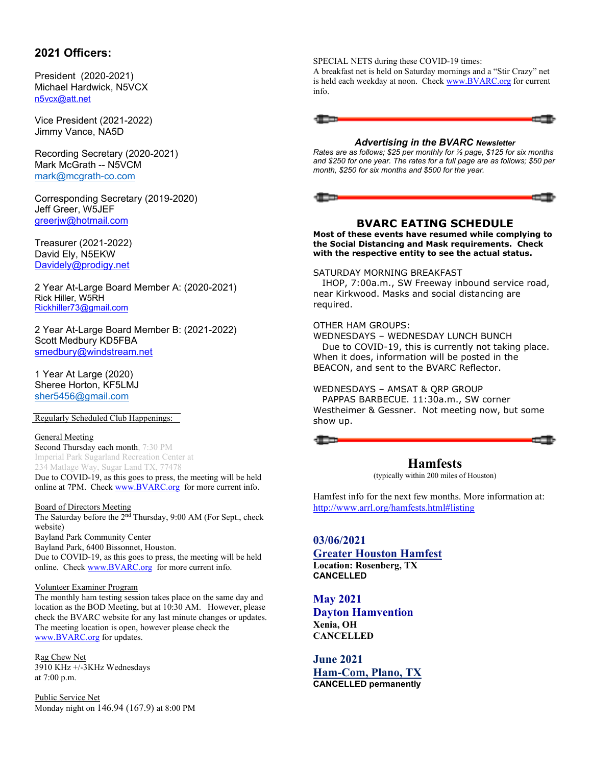### **2021 Officers:**

President (2020-2021) Michael Hardwick, N5VCX n5vcx@att.net

Vice President (2021-2022) Jimmy Vance, NA5D

Recording Secretary (2020-2021) Mark McGrath -- N5VCM mark@mcgrath-co.com

Corresponding Secretary (2019-2020) Jeff Greer, W5JEF greerjw@hotmail.com

Treasurer (2021-2022) David Ely, N5EKW Davidely@prodigy.net

2 Year At-Large Board Member A: (2020-2021) Rick Hiller, W5RH Rickhiller73@gmail.com

2 Year At-Large Board Member B: (2021-2022) Scott Medbury KD5FBA smedbury@windstream.net

1 Year At Large (2020) Sheree Horton, KF5LMJ sher5456@gmail.com

#### Regularly Scheduled Club Happenings:

#### General Meeting

Second Thursday each month, 7:30 PM Imperial Park Sugarland Recreation Center at 234 Matlage Way, Sugar Land TX, 77478 Due to COVID-19, as this goes to press, the meeting will be held online at 7PM. Check www.BVARC.org for more current info.

#### Board of Directors Meeting

The Saturday before the 2nd Thursday, 9:00 AM (For Sept., check website) Bayland Park Community Center Bayland Park, 6400 Bissonnet, Houston. Due to COVID-19, as this goes to press, the meeting will be held online. Check www.BVARC.org for more current info.

#### Volunteer Examiner Program

The monthly ham testing session takes place on the same day and location as the BOD Meeting, but at 10:30 AM. However, please check the BVARC website for any last minute changes or updates. The meeting location is open, however please check the www.BVARC.org for updates.

Rag Chew Net 3910 KHz +/-3KHz Wednesdays at 7:00 p.m.

Public Service Net Monday night on 146.94 (167.9) at 8:00 PM SPECIAL NETS during these COVID-19 times:

A breakfast net is held on Saturday mornings and a "Stir Crazy" net is held each weekday at noon. Check www.BVARC.org for current info.



#### *Advertising in the BVARC Newsletter*

*Rates are as follows; \$25 per monthly for ½ page, \$125 for six months and \$250 for one year. The rates for a full page are as follows; \$50 per month, \$250 for six months and \$500 for the year.* 

#### **BVARC EATING SCHEDULE**

**Most of these events have resumed while complying to the Social Distancing and Mask requirements. Check with the respective entity to see the actual status.** 

#### SATURDAY MORNING BREAKFAST

 IHOP, 7:00a.m., SW Freeway inbound service road, near Kirkwood. Masks and social distancing are required.

#### OTHER HAM GROUPS:

WEDNESDAYS – WEDNESDAY LUNCH BUNCH Due to COVID-19, this is currently not taking place. When it does, information will be posted in the BEACON, and sent to the BVARC Reflector.

#### WEDNESDAYS – AMSAT & QRP GROUP

 PAPPAS BARBECUE. 11:30a.m., SW corner Westheimer & Gessner. Not meeting now, but some show up.



## **Hamfests**

(typically within 200 miles of Houston)

Hamfest info for the next few months. More information at: http://www.arrl.org/hamfests.html#listing

**03/06/2021 Greater Houston Hamfest Location: Rosenberg, TX CANCELLED** 

**May 2021 Dayton Hamvention Xenia, OH CANCELLED** 

**June 2021 Ham-Com, Plano, TX CANCELLED permanently**